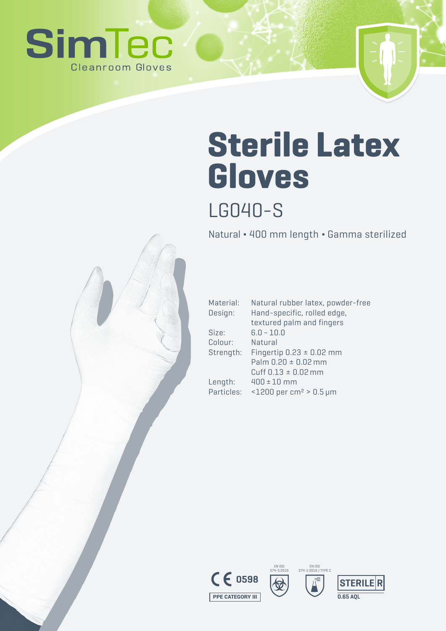



## LG040-S

Natural ¬ 400 mm length ¬ Gamma sterilized